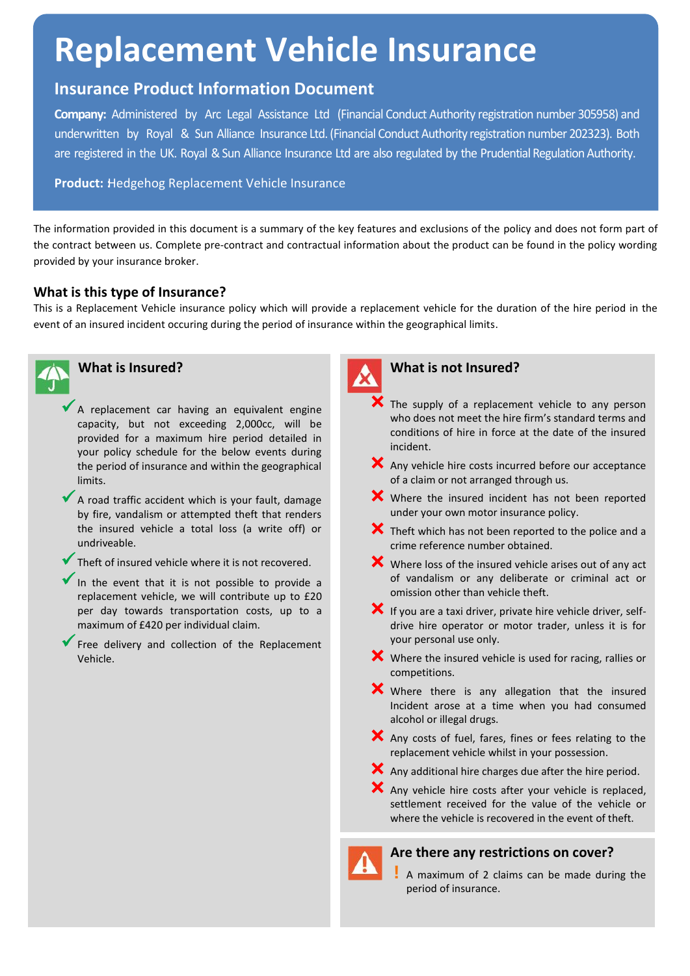# **Replacement Vehicle Insurance**

## **Insurance Product Information Document**

**Company:** Administered by Arc Legal Assistance Ltd (Financial Conduct Authority registration number 305958) and underwritten by Royal & Sun Alliance Insurance Ltd. (Financial Conduct Authority registration number 202323). Both are registered in the UK. Royal & Sun Alliance Insurance Ltd are also regulated by the Prudential Regulation Authority.

**Product:** Hedgehog Replacement Vehicle Insurance

The information provided in this document is a summary of the key features and exclusions of the policy and does not form part of the contract between us. Complete pre-contract and contractual information about the product can be found in the policy wording provided by your insurance broker.

#### **What is this type of Insurance?**

This is a Replacement Vehicle insurance policy which will provide a replacement vehicle for the duration of the hire period in the event of an insured incident occuring during the period of insurance within the geographical limits.



### **What is Insured?**

- $\blacktriangleright$  A replacement car having an equivalent engine capacity, but not exceeding 2,000cc, will be provided for a maximum hire period detailed in your policy schedule for the below events during the period of insurance and within the geographical limits.
- A road traffic accident which is your fault, damage by fire, vandalism or attempted theft that renders the insured vehicle a total loss (a write off) or undriveable.
- Theft of insured vehicle where it is not recovered.
- In the event that it is not possible to provide <sup>a</sup> replacement vehicle, we will contribute up to £20 per day towards transportation costs, up to a maximum of £420 per individual claim.
- Free delivery and collection of the Replacement Vehicle.



#### **What is not Insured?**

- The supply of a replacement vehicle to any person who does not meet the hire firm's standard terms and conditions of hire in force at the date of the insured incident.
- X Any vehicle hire costs incurred before our acceptance of a claim or not arranged through us.
- **X** Where the insured incident has not been reported under your own motor insurance policy.
- **X** Theft which has not been reported to the police and a crime reference number obtained.
- $\mathsf{\times}$  Where loss of the insured vehicle arises out of any act of vandalism or any deliberate or criminal act or omission other than vehicle theft.
- $\blacktriangleright$  If you are a taxi driver, private hire vehicle driver, selfdrive hire operator or motor trader, unless it is for your personal use only.
- $\mathsf{\hat{X}}$  Where the insured vehicle is used for racing, rallies or competitions.
- Where there is any allegation that the insured Incident arose at a time when you had consumed alcohol or illegal drugs.
- $\mathsf{\times}$  Any costs of fuel, fares, fines or fees relating to the replacement vehicle whilst in your possession.
- $\mathsf{\times}$  Any additional hire charges due after the hire period.

 $\mathsf{\times}$  Any vehicle hire costs after your vehicle is replaced. settlement received for the value of the vehicle or where the vehicle is recovered in the event of theft.

#### **Are there any restrictions on cover?**